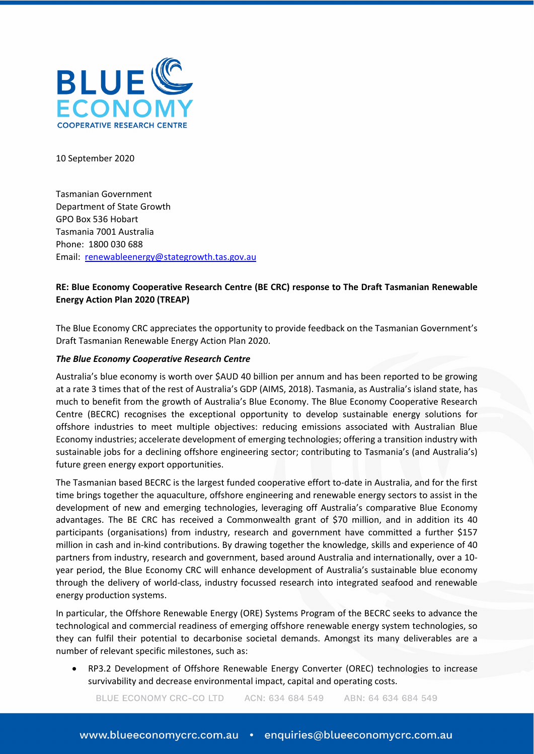

10 September 2020

Tasmanian Government Department of State Growth GPO Box 536 Hobart Tasmania 7001 Australia Phone: 1800 030 688 Email: [renewableenergy@stategrowth.tas.gov.au](mailto:renewableenergy@stategrowth.tas.gov.au)

# **RE: Blue Economy Cooperative Research Centre (BE CRC) response to The Draft Tasmanian Renewable Energy Action Plan 2020 (TREAP)**

The Blue Economy CRC appreciates the opportunity to provide feedback on the Tasmanian Government's Draft Tasmanian Renewable Energy Action Plan 2020.

### *The Blue Economy Cooperative Research Centre*

Australia's blue economy is worth over \$AUD 40 billion per annum and has been reported to be growing at a rate 3 times that of the rest of Australia's GDP (AIMS, 2018). Tasmania, as Australia's island state, has much to benefit from the growth of Australia's Blue Economy. The Blue Economy Cooperative Research Centre (BECRC) recognises the exceptional opportunity to develop sustainable energy solutions for offshore industries to meet multiple objectives: reducing emissions associated with Australian Blue Economy industries; accelerate development of emerging technologies; offering a transition industry with sustainable jobs for a declining offshore engineering sector; contributing to Tasmania's (and Australia's) future green energy export opportunities.

The Tasmanian based BECRC is the largest funded cooperative effort to-date in Australia, and for the first time brings together the aquaculture, offshore engineering and renewable energy sectors to assist in the development of new and emerging technologies, leveraging off Australia's comparative Blue Economy advantages. The BE CRC has received a Commonwealth grant of \$70 million, and in addition its 40 participants (organisations) from industry, research and government have committed a further \$157 million in cash and in-kind contributions. By drawing together the knowledge, skills and experience of 40 partners from industry, research and government, based around Australia and internationally, over a 10 year period, the Blue Economy CRC will enhance development of Australia's sustainable blue economy through the delivery of world-class, industry focussed research into integrated seafood and renewable energy production systems.

In particular, the Offshore Renewable Energy (ORE) Systems Program of the BECRC seeks to advance the technological and commercial readiness of emerging offshore renewable energy system technologies, so they can fulfil their potential to decarbonise societal demands. Amongst its many deliverables are a number of relevant specific milestones, such as:

• RP3.2 Development of Offshore Renewable Energy Converter (OREC) technologies to increase survivability and decrease environmental impact, capital and operating costs.

BLUE ECONOMY CRC-CO LTD ACN: 634 684 549 ABN: 64 634 684 549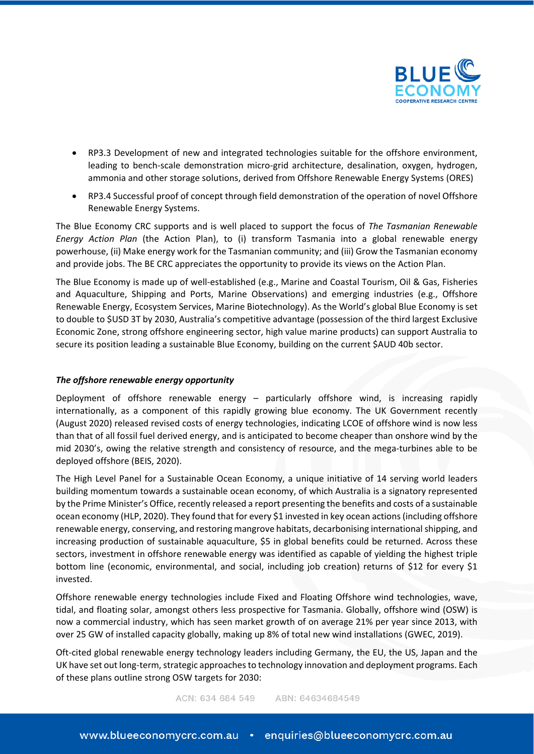

- RP3.3 Development of new and integrated technologies suitable for the offshore environment, leading to bench-scale demonstration micro-grid architecture, desalination, oxygen, hydrogen, ammonia and other storage solutions, derived from Offshore Renewable Energy Systems (ORES)
- RP3.4 Successful proof of concept through field demonstration of the operation of novel Offshore Renewable Energy Systems.

The Blue Economy CRC supports and is well placed to support the focus of *The Tasmanian Renewable Energy Action Plan* (the Action Plan), to (i) transform Tasmania into a global renewable energy powerhouse, (ii) Make energy work for the Tasmanian community; and (iii) Grow the Tasmanian economy and provide jobs. The BE CRC appreciates the opportunity to provide its views on the Action Plan.

The Blue Economy is made up of well-established (e.g., Marine and Coastal Tourism, Oil & Gas, Fisheries and Aquaculture, Shipping and Ports, Marine Observations) and emerging industries (e.g., Offshore Renewable Energy, Ecosystem Services, Marine Biotechnology). As the World's global Blue Economy is set to double to \$USD 3T by 2030, Australia's competitive advantage (possession of the third largest Exclusive Economic Zone, strong offshore engineering sector, high value marine products) can support Australia to secure its position leading a sustainable Blue Economy, building on the current \$AUD 40b sector.

## *The offshore renewable energy opportunity*

Deployment of offshore renewable energy – particularly offshore wind, is increasing rapidly internationally, as a component of this rapidly growing blue economy. The UK Government recently (August 2020) released revised costs of energy technologies, indicating LCOE of offshore wind is now less than that of all fossil fuel derived energy, and is anticipated to become cheaper than onshore wind by the mid 2030's, owing the relative strength and consistency of resource, and the mega-turbines able to be deployed offshore (BEIS, 2020).

The High Level Panel for a Sustainable Ocean Economy, a unique initiative of 14 serving world leaders building momentum towards a sustainable ocean economy, of which Australia is a signatory represented by the Prime Minister's Office, recently released a report presenting the benefits and costs of a sustainable ocean economy (HLP, 2020). They found that for every \$1 invested in key ocean actions (including offshore renewable energy, conserving, and restoring mangrove habitats, decarbonising international shipping, and increasing production of sustainable aquaculture, \$5 in global benefits could be returned. Across these sectors, investment in offshore renewable energy was identified as capable of yielding the highest triple bottom line (economic, environmental, and social, including job creation) returns of \$12 for every \$1 invested.

Offshore renewable energy technologies include Fixed and Floating Offshore wind technologies, wave, tidal, and floating solar, amongst others less prospective for Tasmania. Globally, offshore wind (OSW) is now a commercial industry, which has seen market growth of on average 21% per year since 2013, with over 25 GW of installed capacity globally, making up 8% of total new wind installations (GWEC, 2019).

Oft-cited global renewable energy technology leaders including Germany, the EU, the US, Japan and the UK have set out long-term, strategic approaches to technology innovation and deployment programs. Each of these plans outline strong OSW targets for 2030: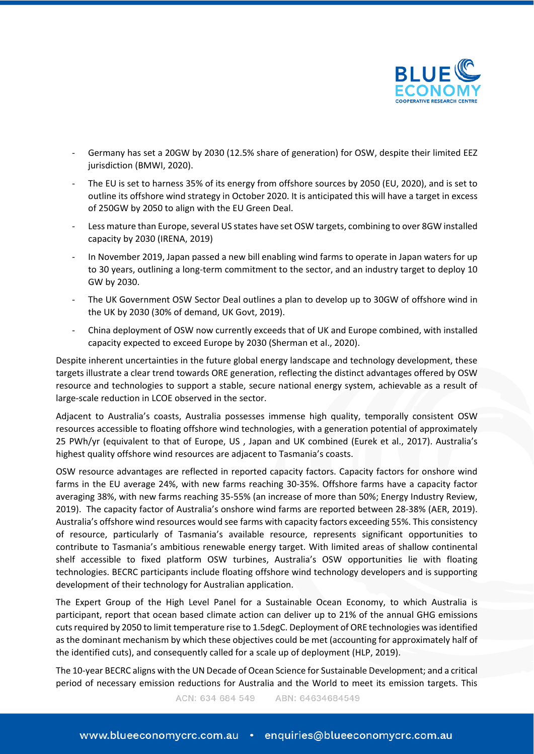

- Germany has set a 20GW by 2030 (12.5% share of generation) for OSW, despite their limited EEZ jurisdiction (BMWI, 2020).
- The EU is set to harness 35% of its energy from offshore sources by 2050 (EU, 2020), and is set to outline its offshore wind strategy in October 2020. It is anticipated this will have a target in excess of 250GW by 2050 to align with the EU Green Deal.
- Less mature than Europe, several US states have set OSW targets, combining to over 8GW installed capacity by 2030 (IRENA, 2019)
- In November 2019, Japan passed a new bill enabling wind farms to operate in Japan waters for up to 30 years, outlining a long-term commitment to the sector, and an industry target to deploy 10 GW by 2030.
- The UK Government OSW Sector Deal outlines a plan to develop up to 30GW of offshore wind in the UK by 2030 (30% of demand, UK Govt, 2019).
- China deployment of OSW now currently exceeds that of UK and Europe combined, with installed capacity expected to exceed Europe by 2030 (Sherman et al., 2020).

Despite inherent uncertainties in the future global energy landscape and technology development, these targets illustrate a clear trend towards ORE generation, reflecting the distinct advantages offered by OSW resource and technologies to support a stable, secure national energy system, achievable as a result of large-scale reduction in LCOE observed in the sector.

Adjacent to Australia's coasts, Australia possesses immense high quality, temporally consistent OSW resources accessible to floating offshore wind technologies, with a generation potential of approximately 25 PWh/yr (equivalent to that of Europe, US , Japan and UK combined (Eurek et al., 2017). Australia's highest quality offshore wind resources are adjacent to Tasmania's coasts.

OSW resource advantages are reflected in reported capacity factors. Capacity factors for onshore wind farms in the EU average 24%, with new farms reaching 30-35%. Offshore farms have a capacity factor averaging 38%, with new farms reaching 35-55% (an increase of more than 50%; Energy Industry Review, 2019). The capacity factor of Australia's onshore wind farms are reported between 28-38% (AER, 2019). Australia's offshore wind resources would see farms with capacity factors exceeding 55%. This consistency of resource, particularly of Tasmania's available resource, represents significant opportunities to contribute to Tasmania's ambitious renewable energy target. With limited areas of shallow continental shelf accessible to fixed platform OSW turbines, Australia's OSW opportunities lie with floating technologies. BECRC participants include floating offshore wind technology developers and is supporting development of their technology for Australian application.

The Expert Group of the High Level Panel for a Sustainable Ocean Economy, to which Australia is participant, report that ocean based climate action can deliver up to 21% of the annual GHG emissions cuts required by 2050 to limit temperature rise to 1.5degC. Deployment of ORE technologies was identified as the dominant mechanism by which these objectives could be met (accounting for approximately half of the identified cuts), and consequently called for a scale up of deployment (HLP, 2019).

The 10-year BECRC aligns with the UN Decade of Ocean Science for Sustainable Development; and a critical period of necessary emission reductions for Australia and the World to meet its emission targets. This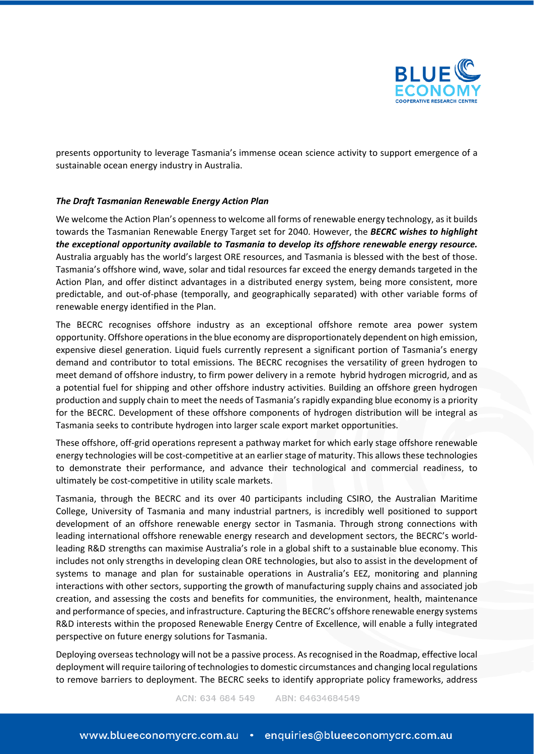

presents opportunity to leverage Tasmania's immense ocean science activity to support emergence of a sustainable ocean energy industry in Australia.

## *The Draft Tasmanian Renewable Energy Action Plan*

We welcome the Action Plan's openness to welcome all forms of renewable energy technology, as it builds towards the Tasmanian Renewable Energy Target set for 2040. However, the *BECRC wishes to highlight the exceptional opportunity available to Tasmania to develop its offshore renewable energy resource.* Australia arguably has the world's largest ORE resources, and Tasmania is blessed with the best of those. Tasmania's offshore wind, wave, solar and tidal resources far exceed the energy demands targeted in the Action Plan, and offer distinct advantages in a distributed energy system, being more consistent, more predictable, and out-of-phase (temporally, and geographically separated) with other variable forms of renewable energy identified in the Plan.

The BECRC recognises offshore industry as an exceptional offshore remote area power system opportunity. Offshore operations in the blue economy are disproportionately dependent on high emission, expensive diesel generation. Liquid fuels currently represent a significant portion of Tasmania's energy demand and contributor to total emissions. The BECRC recognises the versatility of green hydrogen to meet demand of offshore industry, to firm power delivery in a remote hybrid hydrogen microgrid, and as a potential fuel for shipping and other offshore industry activities. Building an offshore green hydrogen production and supply chain to meet the needs of Tasmania's rapidly expanding blue economy is a priority for the BECRC. Development of these offshore components of hydrogen distribution will be integral as Tasmania seeks to contribute hydrogen into larger scale export market opportunities.

These offshore, off-grid operations represent a pathway market for which early stage offshore renewable energy technologies will be cost-competitive at an earlier stage of maturity. This allows these technologies to demonstrate their performance, and advance their technological and commercial readiness, to ultimately be cost-competitive in utility scale markets.

Tasmania, through the BECRC and its over 40 participants including CSIRO, the Australian Maritime College, University of Tasmania and many industrial partners, is incredibly well positioned to support development of an offshore renewable energy sector in Tasmania. Through strong connections with leading international offshore renewable energy research and development sectors, the BECRC's worldleading R&D strengths can maximise Australia's role in a global shift to a sustainable blue economy. This includes not only strengths in developing clean ORE technologies, but also to assist in the development of systems to manage and plan for sustainable operations in Australia's EEZ, monitoring and planning interactions with other sectors, supporting the growth of manufacturing supply chains and associated job creation, and assessing the costs and benefits for communities, the environment, health, maintenance and performance of species, and infrastructure. Capturing the BECRC's offshore renewable energy systems R&D interests within the proposed Renewable Energy Centre of Excellence, will enable a fully integrated perspective on future energy solutions for Tasmania.

Deploying overseas technology will not be a passive process. As recognised in the Roadmap, effective local deployment will require tailoring of technologies to domestic circumstances and changing local regulations to remove barriers to deployment. The BECRC seeks to identify appropriate policy frameworks, address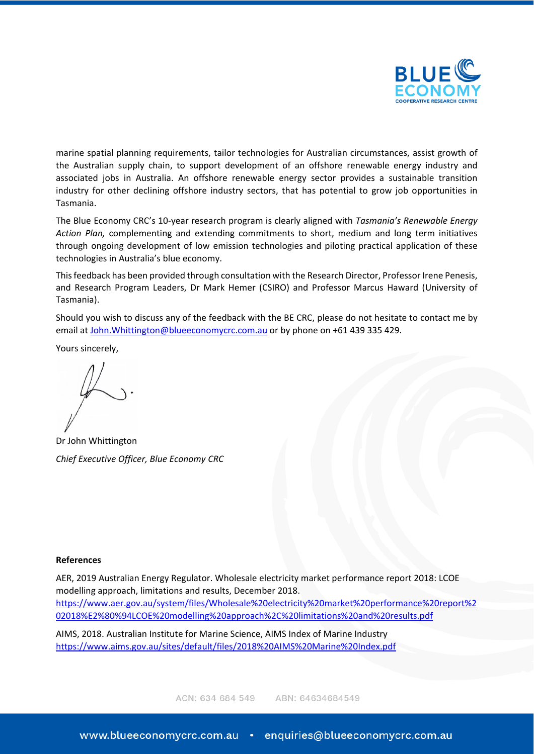

marine spatial planning requirements, tailor technologies for Australian circumstances, assist growth of the Australian supply chain, to support development of an offshore renewable energy industry and associated jobs in Australia. An offshore renewable energy sector provides a sustainable transition industry for other declining offshore industry sectors, that has potential to grow job opportunities in Tasmania.

The Blue Economy CRC's 10-year research program is clearly aligned with *Tasmania's Renewable Energy Action Plan,* complementing and extending commitments to short, medium and long term initiatives through ongoing development of low emission technologies and piloting practical application of these technologies in Australia's blue economy.

This feedback has been provided through consultation with the Research Director, Professor Irene Penesis, and Research Program Leaders, Dr Mark Hemer (CSIRO) and Professor Marcus Haward (University of Tasmania).

Should you wish to discuss any of the feedback with the BE CRC, please do not hesitate to contact me by email at [John.Whittington@blueeconomycrc.com.au](mailto:John.Whittington@blueeconomycrc.com.au) or by phone on +61 439 335 429.

Yours sincerely,

Dr John Whittington *Chief Executive Officer, Blue Economy CRC*

### **References**

AER, 2019 Australian Energy Regulator. Wholesale electricity market performance report 2018: LCOE modelling approach, limitations and results, December 2018. [https://www.aer.gov.au/system/files/Wholesale%20electricity%20market%20performance%20report%2](https://www.aer.gov.au/system/files/Wholesale%20electricity%20market%20performance%20report%202018%E2%80%94LCOE%20modelling%20approach%2C%20limitations%20and%20results.pdf) [02018%E2%80%94LCOE%20modelling%20approach%2C%20limitations%20and%20results.pdf](https://www.aer.gov.au/system/files/Wholesale%20electricity%20market%20performance%20report%202018%E2%80%94LCOE%20modelling%20approach%2C%20limitations%20and%20results.pdf)

AIMS, 2018. Australian Institute for Marine Science, AIMS Index of Marine Industry <https://www.aims.gov.au/sites/default/files/2018%20AIMS%20Marine%20Index.pdf>